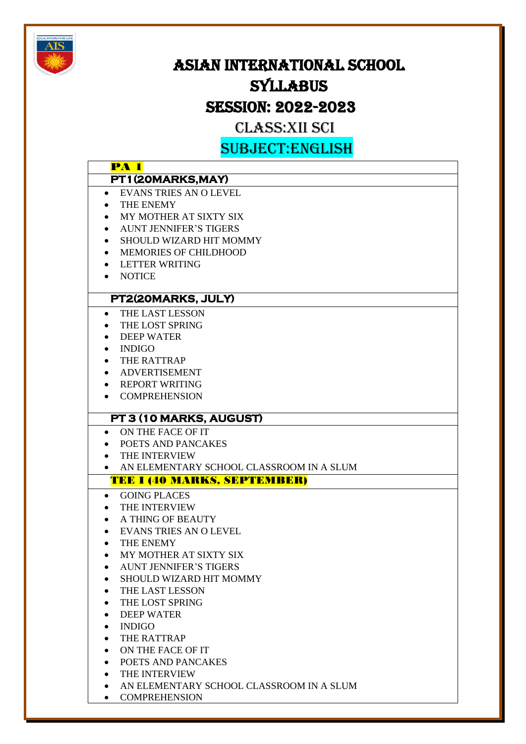

# ASIAN INTERNATIONAL SCHOOL **SYLLABUS**

# SESSION: 2022-2023

# CLASS:XII SCI

SUBJECT:ENGLISH

|           | <u>OODGEGLIJEN EEDI</u>                  |
|-----------|------------------------------------------|
|           | <b>PA 1</b>                              |
|           | PT1(20MARKS, MAY)                        |
|           | • EVANS TRIES AN O LEVEL                 |
| $\bullet$ | THE ENEMY                                |
| $\bullet$ | MY MOTHER AT SIXTY SIX                   |
| $\bullet$ | <b>AUNT JENNIFER'S TIGERS</b>            |
| $\bullet$ | SHOULD WIZARD HIT MOMMY                  |
| $\bullet$ | MEMORIES OF CHILDHOOD                    |
| $\bullet$ | LETTER WRITING                           |
|           | • NOTICE                                 |
|           |                                          |
|           | PT2(20MARKS, JULY)                       |
| $\bullet$ | <b>THE LAST LESSON</b>                   |
| $\bullet$ | THE LOST SPRING                          |
| $\bullet$ | <b>DEEP WATER</b>                        |
| $\bullet$ | <b>INDIGO</b>                            |
| $\bullet$ | THE RATTRAP                              |
| $\bullet$ | ADVERTISEMENT                            |
|           | • REPORT WRITING                         |
|           | <b>COMPREHENSION</b>                     |
|           |                                          |
|           | PT 3 (10 MARKS, AUGUST)                  |
|           | ON THE FACE OF IT<br>$\bullet$           |
|           | POETS AND PANCAKES                       |
|           | THE INTERVIEW                            |
| $\bullet$ | AN ELEMENTARY SCHOOL CLASSROOM IN A SLUM |
|           | <b>TEE I (40 MARKS, SEPTEMBER)</b>       |
| $\bullet$ | <b>GOING PLACES</b>                      |
|           | THE INTERVIEW                            |
| $\bullet$ | A THING OF BEAUTY                        |
| $\bullet$ | <b>EVANS TRIES AN O LEVEL</b>            |
| $\bullet$ | THE ENEMY                                |
|           | MY MOTHER AT SIXTY SIX                   |
|           | <b>AUNT JENNIFER'S TIGERS</b>            |
|           | SHOULD WIZARD HIT MOMMY                  |
|           | THE LAST LESSON                          |
|           | THE LOST SPRING                          |
|           | <b>DEEP WATER</b>                        |
| $\bullet$ | <b>INDIGO</b>                            |
| $\bullet$ | THE RATTRAP                              |
| $\bullet$ | ON THE FACE OF IT                        |
| $\bullet$ | POETS AND PANCAKES                       |
| $\bullet$ | THE INTERVIEW                            |
| $\bullet$ | AN ELEMENTARY SCHOOL CLASSROOM IN A SLUM |

• COMPREHENSION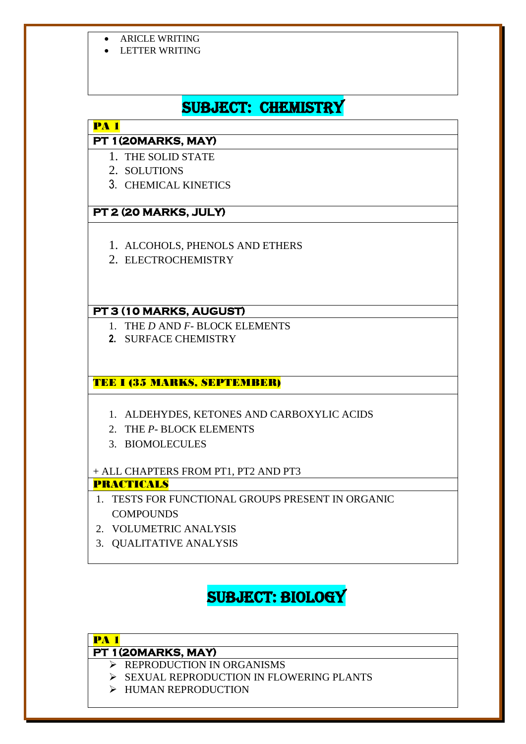- ARICLE WRITING
- LETTER WRITING

# SUBJECT: CHEMISTRY

### PA 1

# **PT 1(20MARKS, MAY)**

- 1. THE SOLID STATE
- 2. SOLUTIONS
- 3. CHEMICAL KINETICS

# **PT 2 (20 MARKS, JULY)**

- 1. ALCOHOLS, PHENOLS AND ETHERS
- 2. ELECTROCHEMISTRY

# **PT 3 (10 MARKS, AUGUST)**

- 1. THE *D* AND *F* BLOCK ELEMENTS
- **2.** SURFACE CHEMISTRY

# TEE I (35 MARKS, SEPTEMBER)

- 1. ALDEHYDES, KETONES AND CARBOXYLIC ACIDS
- 2. THE *P* BLOCK ELEMENTS
- 3. BIOMOLECULES

# + ALL CHAPTERS FROM PT1, PT2 AND PT3

### PRACTICALS

- 1. TESTS FOR FUNCTIONAL GROUPS PRESENT IN ORGANIC **COMPOUNDS**
- 2. VOLUMETRIC ANALYSIS
- 3. QUALITATIVE ANALYSIS

# SUBJECT: BIOLOGY

# PA 1

# **PT 1(20MARKS, MAY)**

- ➢ REPRODUCTION IN ORGANISMS
- ➢ SEXUAL REPRODUCTION IN FLOWERING PLANTS
- ➢ HUMAN REPRODUCTION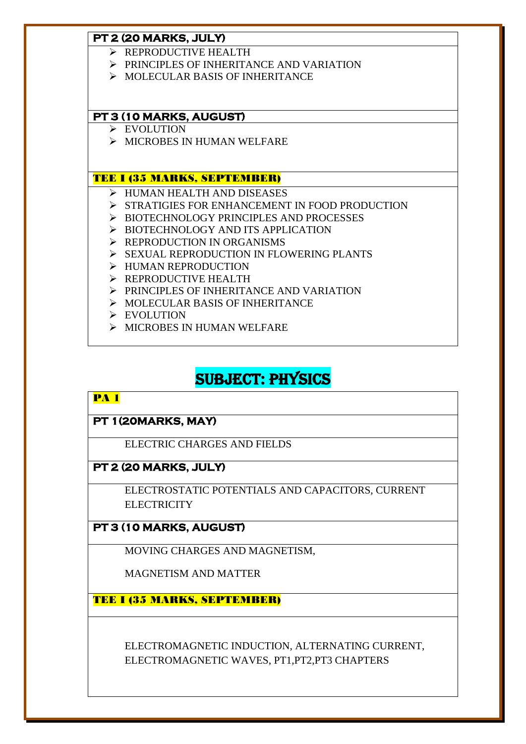#### **PT 2 (20 MARKS, JULY)**

- ➢ REPRODUCTIVE HEALTH
- ➢ PRINCIPLES OF INHERITANCE AND VARIATION
- ➢ MOLECULAR BASIS OF INHERITANCE

#### **PT 3 (10 MARKS, AUGUST)**

- ➢ EVOLUTION
- ➢ MICROBES IN HUMAN WELFARE

#### TEE I (35 MARKS, SEPTEMBER)

- ➢ HUMAN HEALTH AND DISEASES
- ➢ STRATIGIES FOR ENHANCEMENT IN FOOD PRODUCTION
- ➢ BIOTECHNOLOGY PRINCIPLES AND PROCESSES
- ➢ BIOTECHNOLOGY AND ITS APPLICATION
- ➢ REPRODUCTION IN ORGANISMS
- ➢ SEXUAL REPRODUCTION IN FLOWERING PLANTS
- ➢ HUMAN REPRODUCTION
- ➢ REPRODUCTIVE HEALTH
- ➢ PRINCIPLES OF INHERITANCE AND VARIATION
- ➢ MOLECULAR BASIS OF INHERITANCE
- ➢ EVOLUTION
- ➢ MICROBES IN HUMAN WELFARE

# SUBJECT: PHYSICS

#### PA 1

#### **PT 1(20MARKS, MAY)**

ELECTRIC CHARGES AND FIELDS

#### **PT 2 (20 MARKS, JULY)**

ELECTROSTATIC POTENTIALS AND CAPACITORS, CURRENT **ELECTRICITY** 

### **PT 3 (10 MARKS, AUGUST)**

MOVING CHARGES AND MAGNETISM,

MAGNETISM AND MATTER

TEE I (35 MARKS, SEPTEMBER)

ELECTROMAGNETIC INDUCTION, ALTERNATING CURRENT, ELECTROMAGNETIC WAVES, PT1,PT2,PT3 CHAPTERS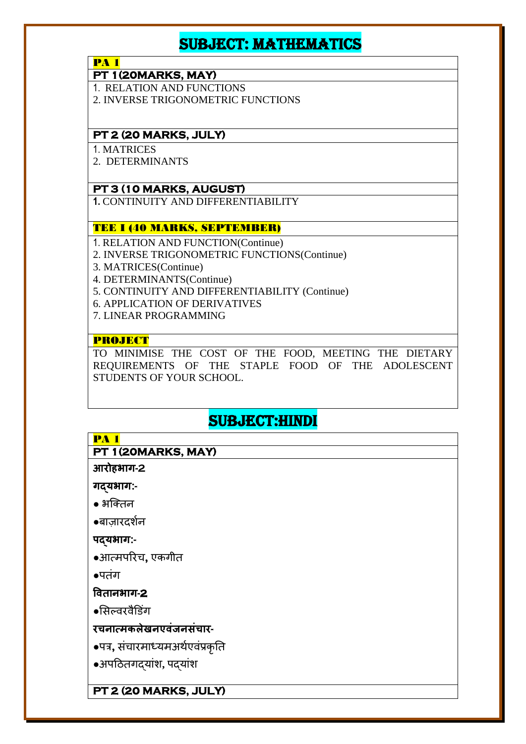# SUBJECT: MATHEMATICS

**PA 1** 

**PT 1(20MARKS, MAY)** 

1. RELATION AND FUNCTIONS

2. INVERSE TRIGONOMETRIC FUNCTIONS

#### **PT 2 (20 MARKS, JULY)**

1. MATRICES

2. DETERMINANTS

#### **PT 3 (10 MARKS, AUGUST)**

**1.** CONTINUITY AND DIFFERENTIABILITY

#### TEE I (40 MARKS, SEPTEMBER)

- 1. RELATION AND FUNCTION(Continue)
- 2. INVERSE TRIGONOMETRIC FUNCTIONS(Continue)
- 3. MATRICES(Continue)
- 4. DETERMINANTS(Continue)
- 5. CONTINUITY AND DIFFERENTIABILITY (Continue)
- 6. APPLICATION OF DERIVATIVES
- 7. LINEAR PROGRAMMING

#### PROJECT

TO MINIMISE THE COST OF THE FOOD, MEETING THE DIETARY REQUIREMENTS OF THE STAPLE FOOD OF THE ADOLESCENT STUDENTS OF YOUR SCHOOL.

# SUBJECT:HINDI

| <b>PA 1</b>                      |
|----------------------------------|
| PT 1(20MARKS, MAY)               |
| आरोहभाग-2                        |
| गद्यभाग:-                        |
| $\bullet$ भक्तिन                 |
| ●बाज़ारदर्शन                     |
| पदयभाग:-                         |
| •आत्मपरिच, एकगीत                 |
| $\bullet$ पतंग                   |
| वितानभाग-2                       |
| ●सिल्वरवैडिंग                    |
| रचनात्मकलेखनएवंजनसंचार-          |
| •पत्र, संचारमाध्यमअर्थएवंप्रकृति |
| •अपठितगदयांश, पदयांश             |
|                                  |
| PT 2 (20 MARKS, JULY)            |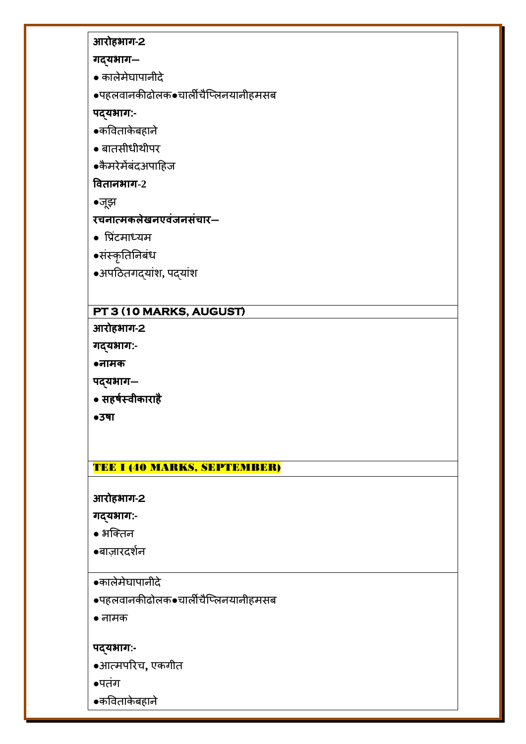### **आरोहभाग-2**

**गद्यभाग–**

● कालेमेघापानीदे

**●**पहलवानकीढोलक●चालीचैक्ललनयानीहमिब

**पद्यभाग:-**

- **●**कवविाके बहाने
- बाििीधीर्ीपर
- **●**कै मरेमेंबंदअपाठहज

**वितानभाग-2**

●जूझ

# **रचनात्मकलेखनएिंजनसंचार–**

- $\bullet$  प्रिंटमाध्यम
- **●**िंस्कृतितनबंध
- **●**अपठििगदयांर्**,** पदयांर्

# **PT 3 (10 MARKS, AUGUST)**

**आरोहभाग-2**

**गद्यभाग:-**

**●नामक**

**पद्यभाग–**

● **सहर्षस्िीकाराहै**

●**उर्ा**

#### TEE I (40 MARKS, SEPTEMBER)

**आरोहभाग-2**

**गद्यभाग:-** 

- **●** भक्तिन
- **●**बाज़ारदर्शन
- ●कालेमेघापानीदे
- **●**पहलवानकीढोलक●चालीचैक्ललनयानीहमिब

● नामक

#### **पद्यभाग:-**

●आत्मपररच**,** एकगीि

**●**पिंग

●कवविाके बहाने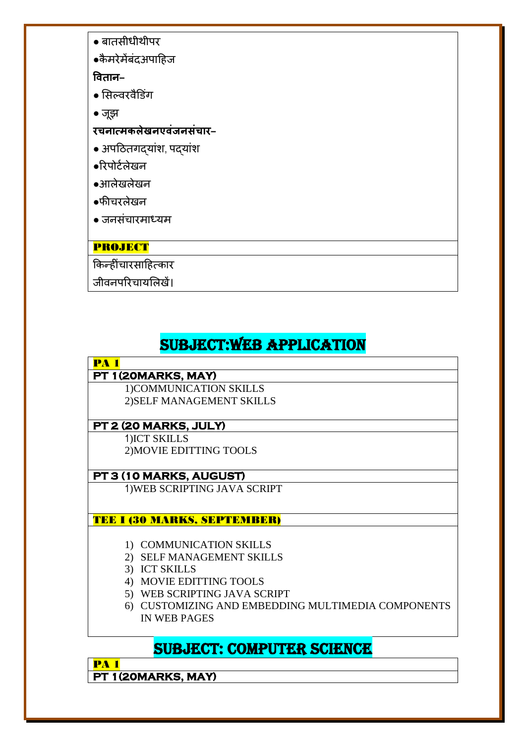- बाििीधीर्ीपर
- **●**कै मरेमेंबंदअपाठहज

**वितान–**

- सिल्वरवैड ंग
- जूझ
- **रचनात्मकलेखनएिंजनसंचार–**
- अपठििगदयांर्, पदयांर्
- ●ररपोटशलेखन
- ●आलेखलेखन
- ●फीचरलेखन
- जनिंचारमाध्यम

# PROJECT

किन्हींचारसाहित्कार

जीवनपररचायसलखें।

# SUBJECT:WEB APPLICATION

# **PA 1**

# **PT 1(20MARKS, MAY)**

1)COMMUNICATION SKILLS 2)SELF MANAGEMENT SKILLS

# **PT 2 (20 MARKS, JULY)**

1)ICT SKILLS 2)MOVIE EDITTING TOOLS

# **PT 3 (10 MARKS, AUGUST)**

1)WEB SCRIPTING JAVA SCRIPT

# TEE I (30 MARKS, SEPTEMBER)

- 1) COMMUNICATION SKILLS
- 2) SELF MANAGEMENT SKILLS
- 3) ICT SKILLS
- 4) MOVIE EDITTING TOOLS
- 5) WEB SCRIPTING JAVA SCRIPT
- 6) CUSTOMIZING AND EMBEDDING MULTIMEDIA COMPONENTS IN WEB PAGES

# SUBJECT: COMPUTER SCIENCE

PA 1 **PT 1(20MARKS, MAY)**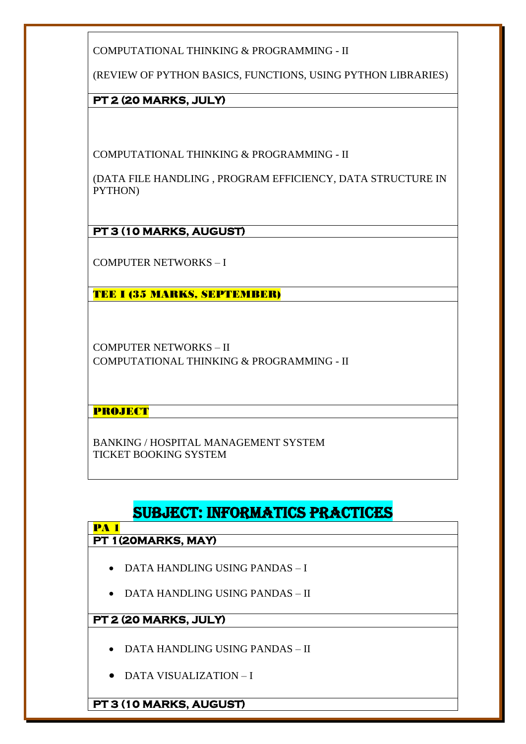COMPUTATIONAL THINKING & PROGRAMMING - II

(REVIEW OF PYTHON BASICS, FUNCTIONS, USING PYTHON LIBRARIES)

**PT 2 (20 MARKS, JULY)** 

COMPUTATIONAL THINKING & PROGRAMMING - II

(DATA FILE HANDLING , PROGRAM EFFICIENCY, DATA STRUCTURE IN PYTHON)

**PT 3 (10 MARKS, AUGUST)** 

COMPUTER NETWORKS – I

TEE I (35 MARKS, SEPTEMBER)

COMPUTER NETWORKS – II COMPUTATIONAL THINKING & PROGRAMMING - II

PROJECT

BANKING / HOSPITAL MANAGEMENT SYSTEM TICKET BOOKING SYSTEM

# SUBJECT: INFORMATICS PRACTICES

#### **PA 1 PT 1(20MARKS, MAY)**

- DATA HANDLING USING PANDAS I
- DATA HANDLING USING PANDAS II

# **PT 2 (20 MARKS, JULY)**

- DATA HANDLING USING PANDAS II
- DATA VISUALIZATION I

**PT 3 (10 MARKS, AUGUST)**